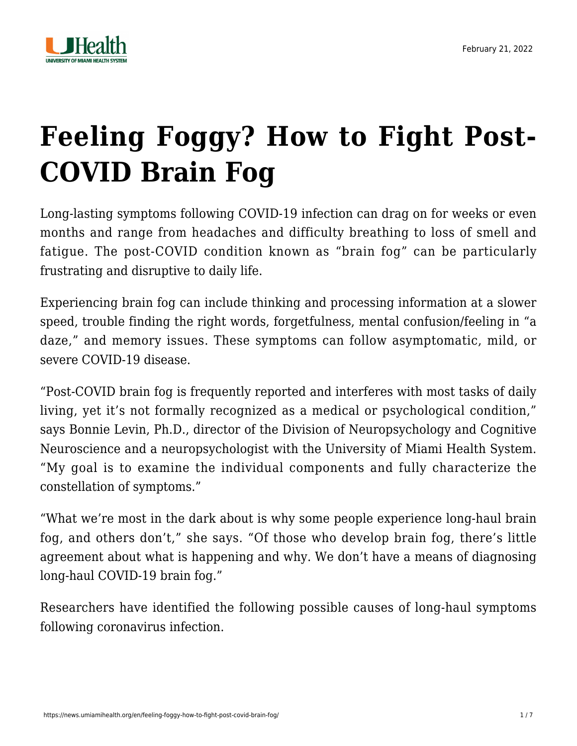

# **[Feeling Foggy? How to Fight Post-](https://news.umiamihealth.org/en/feeling-foggy-how-to-fight-post-covid-brain-fog/)[COVID Brain Fog](https://news.umiamihealth.org/en/feeling-foggy-how-to-fight-post-covid-brain-fog/)**

Long-lasting symptoms following COVID-19 infection can drag on for weeks or even months and range from headaches and difficulty breathing to loss of smell and fatigue. The post-COVID condition known as "brain fog" can be particularly frustrating and disruptive to daily life.

Experiencing brain fog can include thinking and processing information at a slower speed, trouble finding the right words, forgetfulness, mental confusion/feeling in "a daze," and memory issues. These symptoms can follow asymptomatic, mild, or severe COVID-19 disease.

"Post-COVID brain fog is frequently reported and interferes with most tasks of daily living, yet it's not formally recognized as a medical or psychological condition," says [Bonnie Levin, Ph.D.](https://doctors.umiamihealth.org/provider/Bonnie+Levin/524875?_ga=2.93394900.817244729.1644689437-1940541531.1506175809), director of the Division of Neuropsychology and Cognitive Neuroscience and a neuropsychologist with the University of Miami Health System. "My goal is to examine the individual components and fully characterize the constellation of symptoms."

"What we're most in the dark about is why some people experience long-haul brain fog, and others don't," she says. "Of those who develop brain fog, there's little agreement about what is happening and why. We don't have a means of diagnosing long-haul COVID-19 brain fog."

Researchers have identified the following possible causes of long-haul symptoms following coronavirus infection.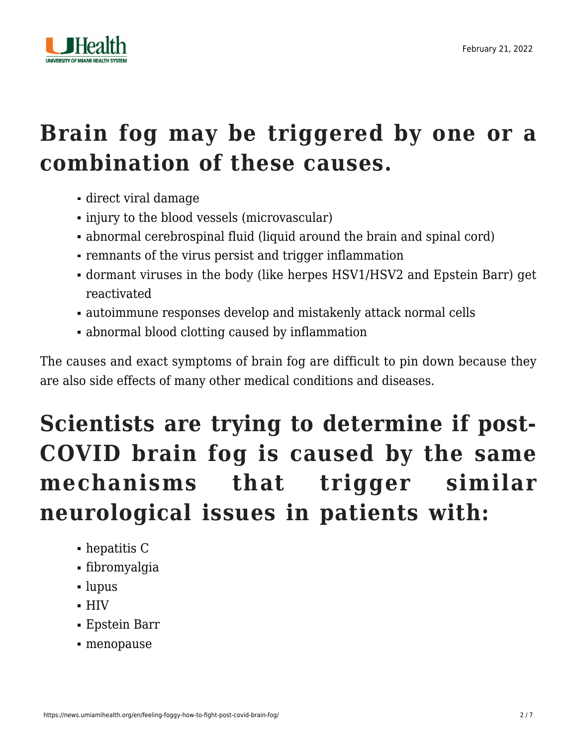

### **Brain fog may be triggered by one or a combination of these causes.**

- direct viral damage
- injury to the blood vessels (microvascular)
- abnormal cerebrospinal fluid (liquid around the brain and spinal cord)
- remnants of the virus persist and trigger inflammation
- dormant viruses in the body (like herpes HSV1/HSV2 and Epstein Barr) get reactivated
- autoimmune responses develop and mistakenly attack normal cells
- abnormal blood clotting caused by inflammation

The causes and exact symptoms of brain fog are difficult to pin down because they are also side effects of many other medical conditions and diseases.

## **Scientists are trying to determine if post-COVID brain fog is caused by the same mechanisms that trigger similar neurological issues in patients with:**

- hepatitis C
- fibromyalgia
- lupus
- HIV
- Epstein Barr
- menopause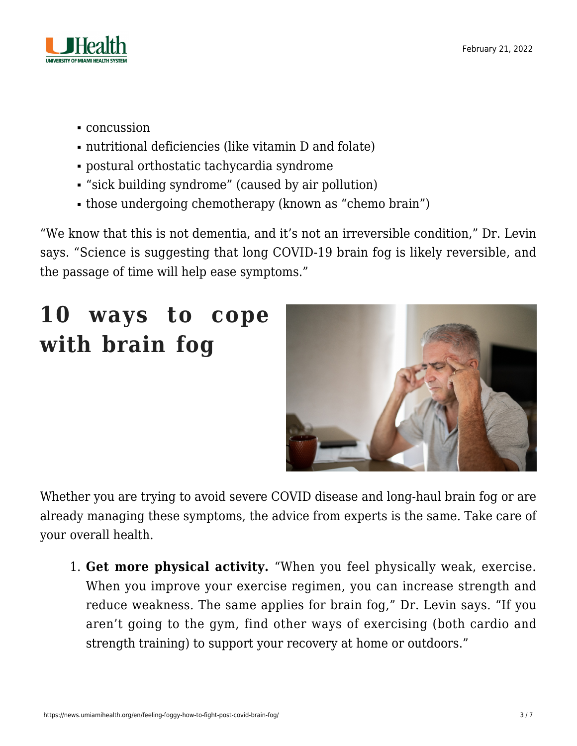

- concussion
- nutritional deficiencies (like vitamin D and folate)
- postural orthostatic tachycardia syndrome
- "sick building syndrome" (caused by air pollution)
- those undergoing chemotherapy (known as "chemo brain")

"We know that this is not dementia, and it's not an irreversible condition," Dr. Levin says. "Science is suggesting that long COVID-19 brain fog is likely reversible, and the passage of time will help ease symptoms."

# **10 ways to cope with brain fog**



Whether you are trying to avoid severe COVID disease and long-haul brain fog or are already managing these symptoms, the advice from experts is the same. Take care of your overall health.

1. **Get more physical activity.** "When you feel physically weak, exercise. When you improve your exercise regimen, you can increase strength and reduce weakness. The same applies for brain fog," Dr. Levin says. "If you aren't going to the gym, find other ways of exercising (both cardio and strength training) to support your recovery at home or outdoors."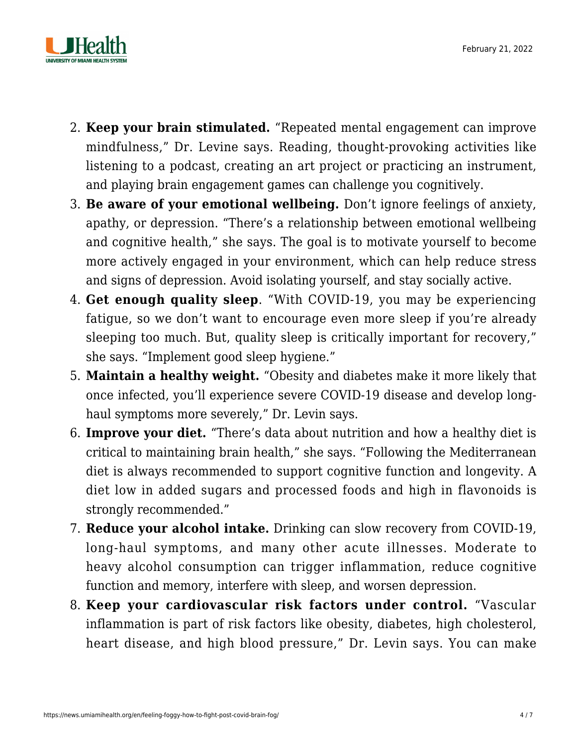

- 2. **Keep your brain stimulated.** ["Repeated mental engagement](https://news.umiamihealth.org/en/how-to-optimize-your-brain-health/) can improve mindfulness," Dr. Levine says. Reading, thought-provoking activities like listening to a podcast, creating an art project or practicing an instrument, and playing brain engagement games can challenge you cognitively.
- 3. **Be aware of your emotional wellbeing.** Don't ignore feelings of anxiety, apathy, or depression. "There's a relationship between emotional wellbeing and cognitive health," she says. The goal is to motivate yourself to become more actively engaged in your environment, which can help reduce stress and signs of depression. Avoid isolating yourself, and stay socially active.
- 4. **Get enough quality sleep**. "With COVID-19, you may be experiencing fatigue, so we don't want to encourage even more sleep if you're already sleeping too much. But, [quality sleep](https://news.umiamihealth.org/en/the-relationship-between-covid-19-and-sleep/) is critically important for recovery," she says. "Implement good sleep hygiene."
- 5. **Maintain a healthy weight.** "Obesity and diabetes make it more likely that once infected, you'll experience severe COVID-19 disease and develop longhaul symptoms more severely," Dr. Levin says.
- 6. **Improve your diet.** "There's data about nutrition and how a healthy diet is critical to maintaining brain health," she says. "Following the [Mediterranean](https://news.umiamihealth.org/en/mangia-seven-simple-ways-to-embrace-the-mediterranean-diet/) [diet](https://news.umiamihealth.org/en/mangia-seven-simple-ways-to-embrace-the-mediterranean-diet/) is always recommended to support cognitive function and longevity. A diet [low in added sugars](https://news.umiamihealth.org/en/why-your-sweet-tooth-is-bad-for-your-heart/) and processed foods and high in flavonoids is strongly recommended."
- 7. **Reduce your alcohol intake.** Drinking can slow recovery from COVID-19, long-haul symptoms, and many other acute illnesses. Moderate to heavy [alcohol](https://www.niaaa.nih.gov/alcohols-effects-health/alcohols-effects-body) consumption can trigger inflammation, reduce cognitive function and memory, interfere with sleep, and worsen depression.
- 8. **Keep your cardiovascular risk factors under control.** "Vascular inflammation is part of risk factors like obesity, diabetes, high cholesterol, heart disease, and high blood pressure," Dr. Levin says. You can make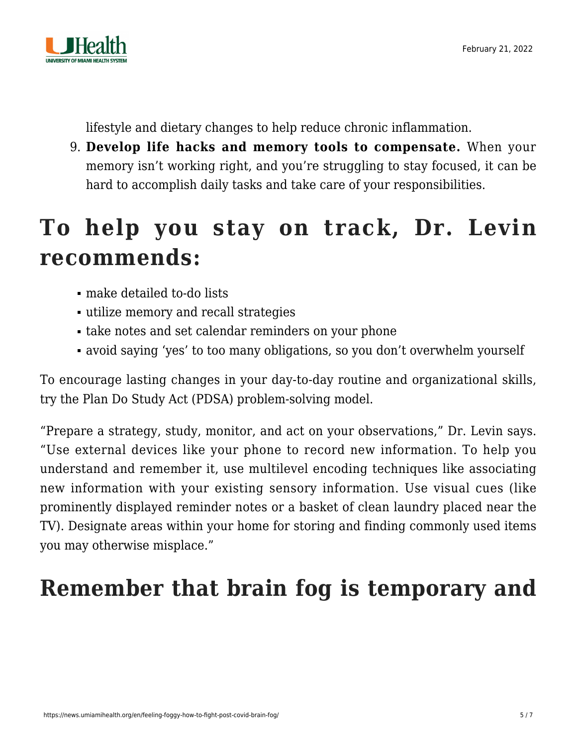

lifestyle and dietary changes to help [reduce chronic inflammation](https://news.umiamihealth.org/en/reduce-chronic-inflammation-with-food/).

9. **Develop life hacks and memory tools to compensate.** When your memory isn't working right, and you're struggling to stay focused, it can be hard to accomplish daily tasks and take care of your responsibilities.

### **To help you stay on track, Dr. Levin recommends:**

- make detailed to-do lists
- utilize memory and recall strategies
- take notes and set calendar reminders on your phone
- avoid saying 'yes' to too many obligations, so you don't overwhelm yourself

To encourage lasting changes in your day-to-day routine and organizational skills, try the Plan Do Study Act (PDSA) problem-solving model.

"Prepare a strategy, study, monitor, and act on your observations," Dr. Levin says. "Use external devices like your phone to record new information. To help you understand and remember it, use multilevel encoding techniques like associating new information with your existing sensory information. Use visual cues (like prominently displayed reminder notes or a basket of clean laundry placed near the TV). Designate areas within your home for storing and finding commonly used items you may otherwise misplace."

### **Remember that brain fog is temporary and**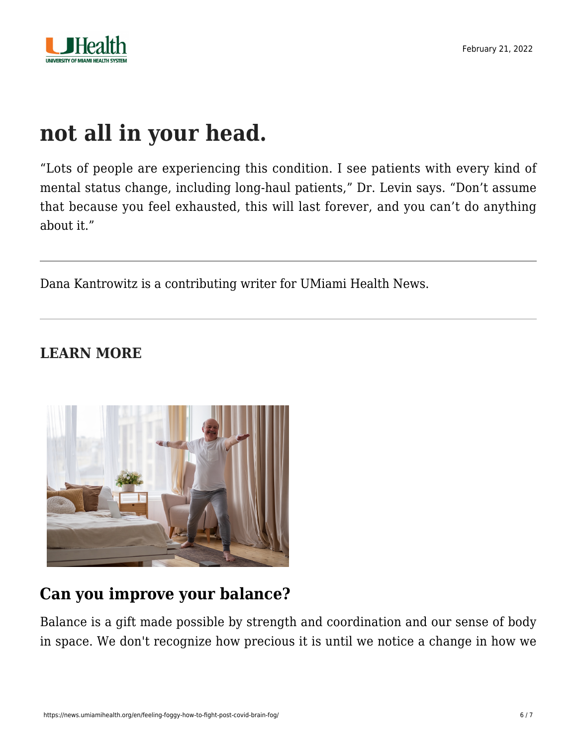

#### **not all in your head.**

"Lots of people are experiencing this condition. I see patients with every kind of mental status change, including long-haul patients," Dr. Levin says. "Don't assume that because you feel exhausted, this will last forever, and you can't do anything about it."

Dana Kantrowitz is a contributing writer for UMiami Health News.

#### **LEARN MORE**



#### **[Can you improve your balance?](https://news.umiamihealth.org/en/how-to-improve-your-balance/)**

Balance is a gift made possible by strength and coordination and our sense of body in space. We don't recognize how precious it is until we notice a change in how we